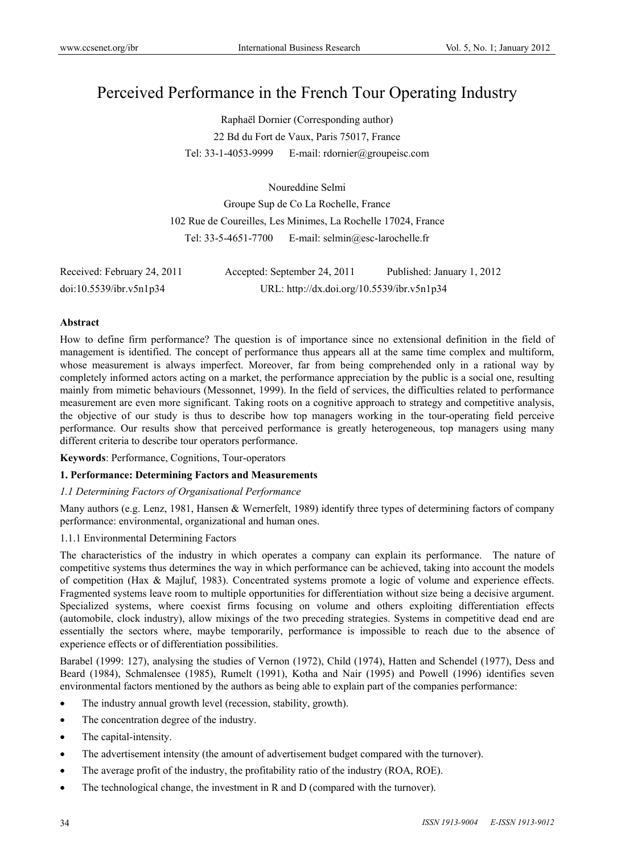# Perceived Performance in the French Tour Operating Industry

Raphaël Dornier (Corresponding author) 22 Bd du Fort de Vaux, Paris 75017, France Tel: 33-1-4053-9999 E-mail: rdornier@groupeisc.com

Noureddine Selmi Groupe Sup de Co La Rochelle, France 102 Rue de Coureilles, Les Minimes, La Rochelle 17024, France Tel: 33-5-4651-7700 E-mail: selmin@esc-larochelle.fr

| Received: February 24, 2011 | Accepted: September 24, 2011               | Published: January 1, 2012 |  |
|-----------------------------|--------------------------------------------|----------------------------|--|
| doi:10.5539/ibr.v5n1p34     | URL: http://dx.doi.org/10.5539/ibr.v5n1p34 |                            |  |

#### **Abstract**

How to define firm performance? The question is of importance since no extensional definition in the field of management is identified. The concept of performance thus appears all at the same time complex and multiform, whose measurement is always imperfect. Moreover, far from being comprehended only in a rational way by completely informed actors acting on a market, the performance appreciation by the public is a social one, resulting mainly from mimetic behaviours (Messonnet, 1999). In the field of services, the difficulties related to performance measurement are even more significant. Taking roots on a cognitive approach to strategy and competitive analysis, the objective of our study is thus to describe how top managers working in the tour-operating field perceive performance. Our results show that perceived performance is greatly heterogeneous, top managers using many different criteria to describe tour operators performance.

**Keywords**: Performance, Cognitions, Tour-operators

### **1. Performance: Determining Factors and Measurements**

#### *1.1 Determining Factors of Organisational Performance*

Many authors (e.g. Lenz, 1981, Hansen & Wernerfelt, 1989) identify three types of determining factors of company performance: environmental, organizational and human ones.

#### 1.1.1 Environmental Determining Factors

The characteristics of the industry in which operates a company can explain its performance. The nature of competitive systems thus determines the way in which performance can be achieved, taking into account the models of competition (Hax & Majluf, 1983). Concentrated systems promote a logic of volume and experience effects. Fragmented systems leave room to multiple opportunities for differentiation without size being a decisive argument. Specialized systems, where coexist firms focusing on volume and others exploiting differentiation effects (automobile, clock industry), allow mixings of the two preceding strategies. Systems in competitive dead end are essentially the sectors where, maybe temporarily, performance is impossible to reach due to the absence of experience effects or of differentiation possibilities.

Barabel (1999: 127), analysing the studies of Vernon (1972), Child (1974), Hatten and Schendel (1977), Dess and Beard (1984), Schmalensee (1985), Rumelt (1991), Kotha and Nair (1995) and Powell (1996) identifies seven environmental factors mentioned by the authors as being able to explain part of the companies performance:

- The industry annual growth level (recession, stability, growth).
- The concentration degree of the industry.
- The capital-intensity.
- The advertisement intensity (the amount of advertisement budget compared with the turnover).
- The average profit of the industry, the profitability ratio of the industry (ROA, ROE).
- The technological change, the investment in R and D (compared with the turnover).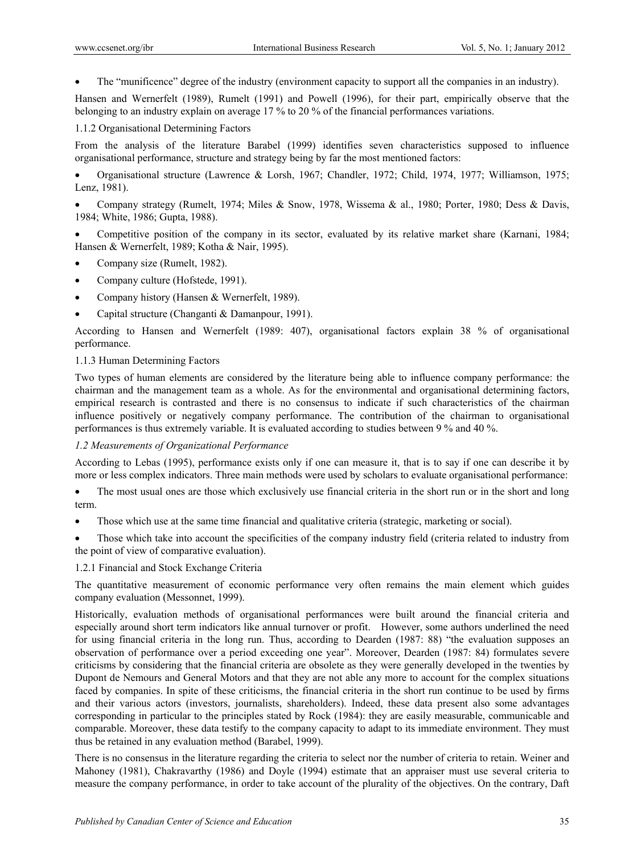The "munificence" degree of the industry (environment capacity to support all the companies in an industry).

Hansen and Wernerfelt (1989), Rumelt (1991) and Powell (1996), for their part, empirically observe that the belonging to an industry explain on average 17 % to 20 % of the financial performances variations.

## 1.1.2 Organisational Determining Factors

From the analysis of the literature Barabel (1999) identifies seven characteristics supposed to influence organisational performance, structure and strategy being by far the most mentioned factors:

 Organisational structure (Lawrence & Lorsh, 1967; Chandler, 1972; Child, 1974, 1977; Williamson, 1975; Lenz, 1981).

 Company strategy (Rumelt, 1974; Miles & Snow, 1978, Wissema & al., 1980; Porter, 1980; Dess & Davis, 1984; White, 1986; Gupta, 1988).

 Competitive position of the company in its sector, evaluated by its relative market share (Karnani, 1984; Hansen & Wernerfelt, 1989; Kotha & Nair, 1995).

- Company size (Rumelt, 1982).
- Company culture (Hofstede, 1991).
- Company history (Hansen & Wernerfelt, 1989).
- Capital structure (Changanti & Damanpour, 1991).

According to Hansen and Wernerfelt (1989: 407), organisational factors explain 38 % of organisational performance.

### 1.1.3 Human Determining Factors

Two types of human elements are considered by the literature being able to influence company performance: the chairman and the management team as a whole. As for the environmental and organisational determining factors, empirical research is contrasted and there is no consensus to indicate if such characteristics of the chairman influence positively or negatively company performance. The contribution of the chairman to organisational performances is thus extremely variable. It is evaluated according to studies between 9 % and 40 %.

### *1.2 Measurements of Organizational Performance*

According to Lebas (1995), performance exists only if one can measure it, that is to say if one can describe it by more or less complex indicators. Three main methods were used by scholars to evaluate organisational performance:

• The most usual ones are those which exclusively use financial criteria in the short run or in the short and long term.

- Those which use at the same time financial and qualitative criteria (strategic, marketing or social).
- Those which take into account the specificities of the company industry field (criteria related to industry from the point of view of comparative evaluation).

### 1.2.1 Financial and Stock Exchange Criteria

The quantitative measurement of economic performance very often remains the main element which guides company evaluation (Messonnet, 1999).

Historically, evaluation methods of organisational performances were built around the financial criteria and especially around short term indicators like annual turnover or profit. However, some authors underlined the need for using financial criteria in the long run. Thus, according to Dearden (1987: 88) "the evaluation supposes an observation of performance over a period exceeding one year". Moreover, Dearden (1987: 84) formulates severe criticisms by considering that the financial criteria are obsolete as they were generally developed in the twenties by Dupont de Nemours and General Motors and that they are not able any more to account for the complex situations faced by companies. In spite of these criticisms, the financial criteria in the short run continue to be used by firms and their various actors (investors, journalists, shareholders). Indeed, these data present also some advantages corresponding in particular to the principles stated by Rock (1984): they are easily measurable, communicable and comparable. Moreover, these data testify to the company capacity to adapt to its immediate environment. They must thus be retained in any evaluation method (Barabel, 1999).

There is no consensus in the literature regarding the criteria to select nor the number of criteria to retain. Weiner and Mahoney (1981), Chakravarthy (1986) and Doyle (1994) estimate that an appraiser must use several criteria to measure the company performance, in order to take account of the plurality of the objectives. On the contrary, Daft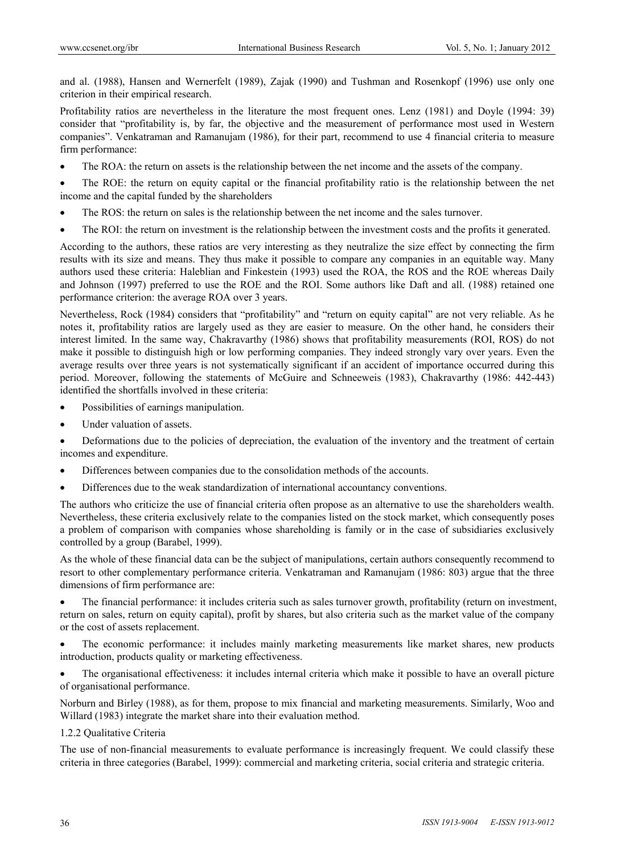and al. (1988), Hansen and Wernerfelt (1989), Zajak (1990) and Tushman and Rosenkopf (1996) use only one criterion in their empirical research.

Profitability ratios are nevertheless in the literature the most frequent ones. Lenz (1981) and Doyle (1994: 39) consider that "profitability is, by far, the objective and the measurement of performance most used in Western companies". Venkatraman and Ramanujam (1986), for their part, recommend to use 4 financial criteria to measure firm performance:

The ROA: the return on assets is the relationship between the net income and the assets of the company.

 The ROE: the return on equity capital or the financial profitability ratio is the relationship between the net income and the capital funded by the shareholders

- The ROS: the return on sales is the relationship between the net income and the sales turnover.
- The ROI: the return on investment is the relationship between the investment costs and the profits it generated.

According to the authors, these ratios are very interesting as they neutralize the size effect by connecting the firm results with its size and means. They thus make it possible to compare any companies in an equitable way. Many authors used these criteria: Haleblian and Finkestein (1993) used the ROA, the ROS and the ROE whereas Daily and Johnson (1997) preferred to use the ROE and the ROI. Some authors like Daft and all. (1988) retained one performance criterion: the average ROA over 3 years.

Nevertheless, Rock (1984) considers that "profitability" and "return on equity capital" are not very reliable. As he notes it, profitability ratios are largely used as they are easier to measure. On the other hand, he considers their interest limited. In the same way, Chakravarthy (1986) shows that profitability measurements (ROI, ROS) do not make it possible to distinguish high or low performing companies. They indeed strongly vary over years. Even the average results over three years is not systematically significant if an accident of importance occurred during this period. Moreover, following the statements of McGuire and Schneeweis (1983), Chakravarthy (1986: 442-443) identified the shortfalls involved in these criteria:

- Possibilities of earnings manipulation.
- Under valuation of assets.

 Deformations due to the policies of depreciation, the evaluation of the inventory and the treatment of certain incomes and expenditure.

- Differences between companies due to the consolidation methods of the accounts.
- Differences due to the weak standardization of international accountancy conventions.

The authors who criticize the use of financial criteria often propose as an alternative to use the shareholders wealth. Nevertheless, these criteria exclusively relate to the companies listed on the stock market, which consequently poses a problem of comparison with companies whose shareholding is family or in the case of subsidiaries exclusively controlled by a group (Barabel, 1999).

As the whole of these financial data can be the subject of manipulations, certain authors consequently recommend to resort to other complementary performance criteria. Venkatraman and Ramanujam (1986: 803) argue that the three dimensions of firm performance are:

 The financial performance: it includes criteria such as sales turnover growth, profitability (return on investment, return on sales, return on equity capital), profit by shares, but also criteria such as the market value of the company or the cost of assets replacement.

 The economic performance: it includes mainly marketing measurements like market shares, new products introduction, products quality or marketing effectiveness.

 The organisational effectiveness: it includes internal criteria which make it possible to have an overall picture of organisational performance.

Norburn and Birley (1988), as for them, propose to mix financial and marketing measurements. Similarly, Woo and Willard (1983) integrate the market share into their evaluation method.

## 1.2.2 Qualitative Criteria

The use of non-financial measurements to evaluate performance is increasingly frequent. We could classify these criteria in three categories (Barabel, 1999): commercial and marketing criteria, social criteria and strategic criteria.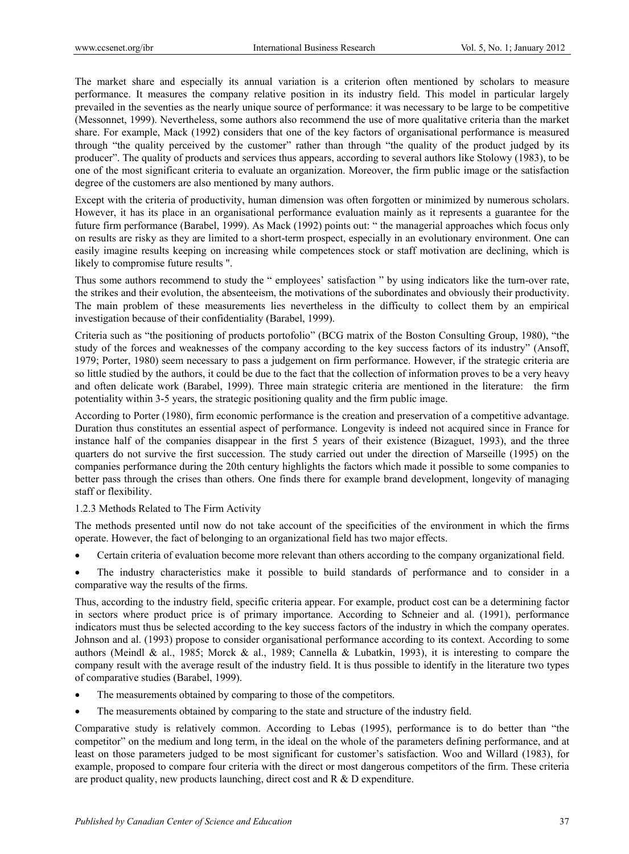The market share and especially its annual variation is a criterion often mentioned by scholars to measure performance. It measures the company relative position in its industry field. This model in particular largely prevailed in the seventies as the nearly unique source of performance: it was necessary to be large to be competitive (Messonnet, 1999). Nevertheless, some authors also recommend the use of more qualitative criteria than the market share. For example, Mack (1992) considers that one of the key factors of organisational performance is measured through "the quality perceived by the customer" rather than through "the quality of the product judged by its producer". The quality of products and services thus appears, according to several authors like Stolowy (1983), to be one of the most significant criteria to evaluate an organization. Moreover, the firm public image or the satisfaction degree of the customers are also mentioned by many authors.

Except with the criteria of productivity, human dimension was often forgotten or minimized by numerous scholars. However, it has its place in an organisational performance evaluation mainly as it represents a guarantee for the future firm performance (Barabel, 1999). As Mack (1992) points out: " the managerial approaches which focus only on results are risky as they are limited to a short-term prospect, especially in an evolutionary environment. One can easily imagine results keeping on increasing while competences stock or staff motivation are declining, which is likely to compromise future results ".

Thus some authors recommend to study the " employees' satisfaction " by using indicators like the turn-over rate, the strikes and their evolution, the absenteeism, the motivations of the subordinates and obviously their productivity. The main problem of these measurements lies nevertheless in the difficulty to collect them by an empirical investigation because of their confidentiality (Barabel, 1999).

Criteria such as "the positioning of products portofolio" (BCG matrix of the Boston Consulting Group, 1980), "the study of the forces and weaknesses of the company according to the key success factors of its industry" (Ansoff, 1979; Porter, 1980) seem necessary to pass a judgement on firm performance. However, if the strategic criteria are so little studied by the authors, it could be due to the fact that the collection of information proves to be a very heavy and often delicate work (Barabel, 1999). Three main strategic criteria are mentioned in the literature: the firm potentiality within 3-5 years, the strategic positioning quality and the firm public image.

According to Porter (1980), firm economic performance is the creation and preservation of a competitive advantage. Duration thus constitutes an essential aspect of performance. Longevity is indeed not acquired since in France for instance half of the companies disappear in the first 5 years of their existence (Bizaguet, 1993), and the three quarters do not survive the first succession. The study carried out under the direction of Marseille (1995) on the companies performance during the 20th century highlights the factors which made it possible to some companies to better pass through the crises than others. One finds there for example brand development, longevity of managing staff or flexibility.

### 1.2.3 Methods Related to The Firm Activity

The methods presented until now do not take account of the specificities of the environment in which the firms operate. However, the fact of belonging to an organizational field has two major effects.

- Certain criteria of evaluation become more relevant than others according to the company organizational field.
- The industry characteristics make it possible to build standards of performance and to consider in a comparative way the results of the firms.

Thus, according to the industry field, specific criteria appear. For example, product cost can be a determining factor in sectors where product price is of primary importance. According to Schneier and al. (1991), performance indicators must thus be selected according to the key success factors of the industry in which the company operates. Johnson and al. (1993) propose to consider organisational performance according to its context. According to some authors (Meindl & al., 1985; Morck & al., 1989; Cannella & Lubatkin, 1993), it is interesting to compare the company result with the average result of the industry field. It is thus possible to identify in the literature two types of comparative studies (Barabel, 1999).

- The measurements obtained by comparing to those of the competitors.
- The measurements obtained by comparing to the state and structure of the industry field.

Comparative study is relatively common. According to Lebas (1995), performance is to do better than "the competitor" on the medium and long term, in the ideal on the whole of the parameters defining performance, and at least on those parameters judged to be most significant for customer's satisfaction. Woo and Willard (1983), for example, proposed to compare four criteria with the direct or most dangerous competitors of the firm. These criteria are product quality, new products launching, direct cost and R & D expenditure.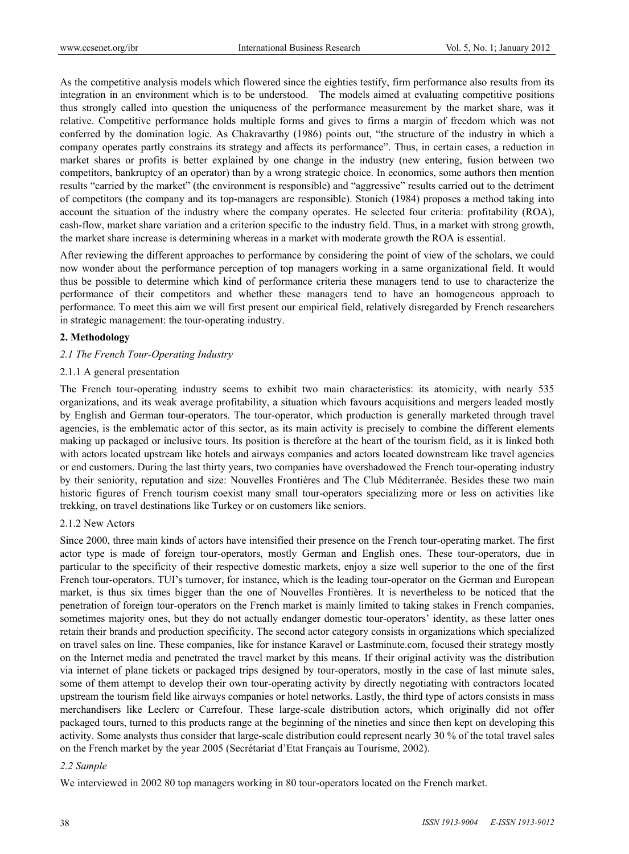As the competitive analysis models which flowered since the eighties testify, firm performance also results from its integration in an environment which is to be understood. The models aimed at evaluating competitive positions thus strongly called into question the uniqueness of the performance measurement by the market share, was it relative. Competitive performance holds multiple forms and gives to firms a margin of freedom which was not conferred by the domination logic. As Chakravarthy (1986) points out, "the structure of the industry in which a company operates partly constrains its strategy and affects its performance". Thus, in certain cases, a reduction in market shares or profits is better explained by one change in the industry (new entering, fusion between two competitors, bankruptcy of an operator) than by a wrong strategic choice. In economics, some authors then mention results "carried by the market" (the environment is responsible) and "aggressive" results carried out to the detriment of competitors (the company and its top-managers are responsible). Stonich (1984) proposes a method taking into account the situation of the industry where the company operates. He selected four criteria: profitability (ROA), cash-flow, market share variation and a criterion specific to the industry field. Thus, in a market with strong growth, the market share increase is determining whereas in a market with moderate growth the ROA is essential.

After reviewing the different approaches to performance by considering the point of view of the scholars, we could now wonder about the performance perception of top managers working in a same organizational field. It would thus be possible to determine which kind of performance criteria these managers tend to use to characterize the performance of their competitors and whether these managers tend to have an homogeneous approach to performance. To meet this aim we will first present our empirical field, relatively disregarded by French researchers in strategic management: the tour-operating industry.

#### **2. Methodology**

#### *2.1 The French Tour-Operating Industry*

#### 2.1.1 A general presentation

The French tour-operating industry seems to exhibit two main characteristics: its atomicity, with nearly 535 organizations, and its weak average profitability, a situation which favours acquisitions and mergers leaded mostly by English and German tour-operators. The tour-operator, which production is generally marketed through travel agencies, is the emblematic actor of this sector, as its main activity is precisely to combine the different elements making up packaged or inclusive tours. Its position is therefore at the heart of the tourism field, as it is linked both with actors located upstream like hotels and airways companies and actors located downstream like travel agencies or end customers. During the last thirty years, two companies have overshadowed the French tour-operating industry by their seniority, reputation and size: Nouvelles Frontières and The Club Méditerranée. Besides these two main historic figures of French tourism coexist many small tour-operators specializing more or less on activities like trekking, on travel destinations like Turkey or on customers like seniors.

#### 2.1.2 New Actors

Since 2000, three main kinds of actors have intensified their presence on the French tour-operating market. The first actor type is made of foreign tour-operators, mostly German and English ones. These tour-operators, due in particular to the specificity of their respective domestic markets, enjoy a size well superior to the one of the first French tour-operators. TUI's turnover, for instance, which is the leading tour-operator on the German and European market, is thus six times bigger than the one of Nouvelles Frontières. It is nevertheless to be noticed that the penetration of foreign tour-operators on the French market is mainly limited to taking stakes in French companies, sometimes majority ones, but they do not actually endanger domestic tour-operators' identity, as these latter ones retain their brands and production specificity. The second actor category consists in organizations which specialized on travel sales on line. These companies, like for instance Karavel or Lastminute.com, focused their strategy mostly on the Internet media and penetrated the travel market by this means. If their original activity was the distribution via internet of plane tickets or packaged trips designed by tour-operators, mostly in the case of last minute sales, some of them attempt to develop their own tour-operating activity by directly negotiating with contractors located upstream the tourism field like airways companies or hotel networks. Lastly, the third type of actors consists in mass merchandisers like Leclerc or Carrefour. These large-scale distribution actors, which originally did not offer packaged tours, turned to this products range at the beginning of the nineties and since then kept on developing this activity. Some analysts thus consider that large-scale distribution could represent nearly 30 % of the total travel sales on the French market by the year 2005 (Secrétariat d'Etat Français au Tourisme, 2002).

#### *2.2 Sample*

We interviewed in 2002 80 top managers working in 80 tour-operators located on the French market.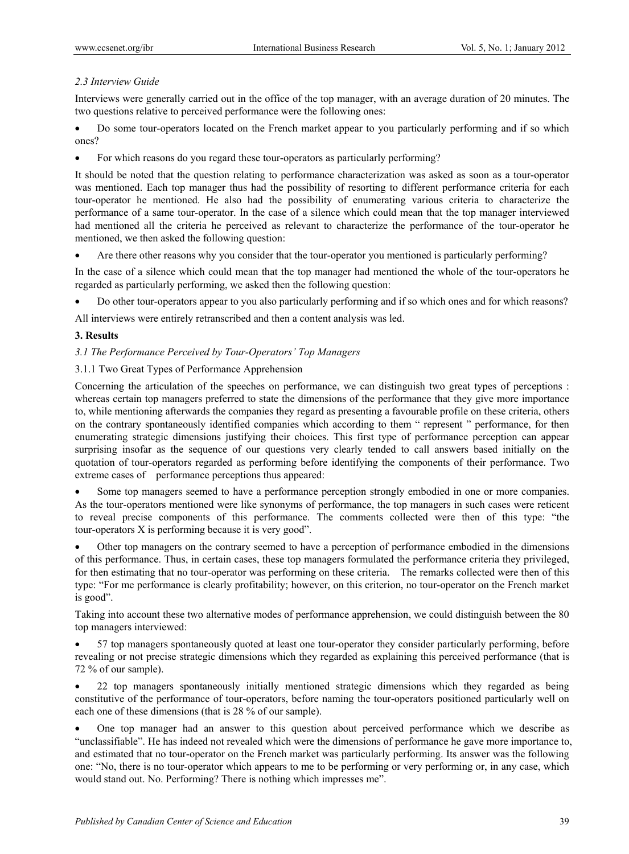## *2.3 Interview Guide*

Interviews were generally carried out in the office of the top manager, with an average duration of 20 minutes. The two questions relative to perceived performance were the following ones:

- Do some tour-operators located on the French market appear to you particularly performing and if so which ones?
- For which reasons do you regard these tour-operators as particularly performing?

It should be noted that the question relating to performance characterization was asked as soon as a tour-operator was mentioned. Each top manager thus had the possibility of resorting to different performance criteria for each tour-operator he mentioned. He also had the possibility of enumerating various criteria to characterize the performance of a same tour-operator. In the case of a silence which could mean that the top manager interviewed had mentioned all the criteria he perceived as relevant to characterize the performance of the tour-operator he mentioned, we then asked the following question:

Are there other reasons why you consider that the tour-operator you mentioned is particularly performing?

In the case of a silence which could mean that the top manager had mentioned the whole of the tour-operators he regarded as particularly performing, we asked then the following question:

- Do other tour-operators appear to you also particularly performing and if so which ones and for which reasons?
- All interviews were entirely retranscribed and then a content analysis was led.

## **3. Results**

### *3.1 The Performance Perceived by Tour-Operators' Top Managers*

### 3.1.1 Two Great Types of Performance Apprehension

Concerning the articulation of the speeches on performance, we can distinguish two great types of perceptions : whereas certain top managers preferred to state the dimensions of the performance that they give more importance to, while mentioning afterwards the companies they regard as presenting a favourable profile on these criteria, others on the contrary spontaneously identified companies which according to them " represent " performance, for then enumerating strategic dimensions justifying their choices. This first type of performance perception can appear surprising insofar as the sequence of our questions very clearly tended to call answers based initially on the quotation of tour-operators regarded as performing before identifying the components of their performance. Two extreme cases of performance perceptions thus appeared:

 Some top managers seemed to have a performance perception strongly embodied in one or more companies. As the tour-operators mentioned were like synonyms of performance, the top managers in such cases were reticent to reveal precise components of this performance. The comments collected were then of this type: "the tour-operators X is performing because it is very good".

 Other top managers on the contrary seemed to have a perception of performance embodied in the dimensions of this performance. Thus, in certain cases, these top managers formulated the performance criteria they privileged, for then estimating that no tour-operator was performing on these criteria. The remarks collected were then of this type: "For me performance is clearly profitability; however, on this criterion, no tour-operator on the French market is good".

Taking into account these two alternative modes of performance apprehension, we could distinguish between the 80 top managers interviewed:

 57 top managers spontaneously quoted at least one tour-operator they consider particularly performing, before revealing or not precise strategic dimensions which they regarded as explaining this perceived performance (that is 72 % of our sample).

 22 top managers spontaneously initially mentioned strategic dimensions which they regarded as being constitutive of the performance of tour-operators, before naming the tour-operators positioned particularly well on each one of these dimensions (that is 28 % of our sample).

 One top manager had an answer to this question about perceived performance which we describe as "unclassifiable". He has indeed not revealed which were the dimensions of performance he gave more importance to, and estimated that no tour-operator on the French market was particularly performing. Its answer was the following one: "No, there is no tour-operator which appears to me to be performing or very performing or, in any case, which would stand out. No. Performing? There is nothing which impresses me".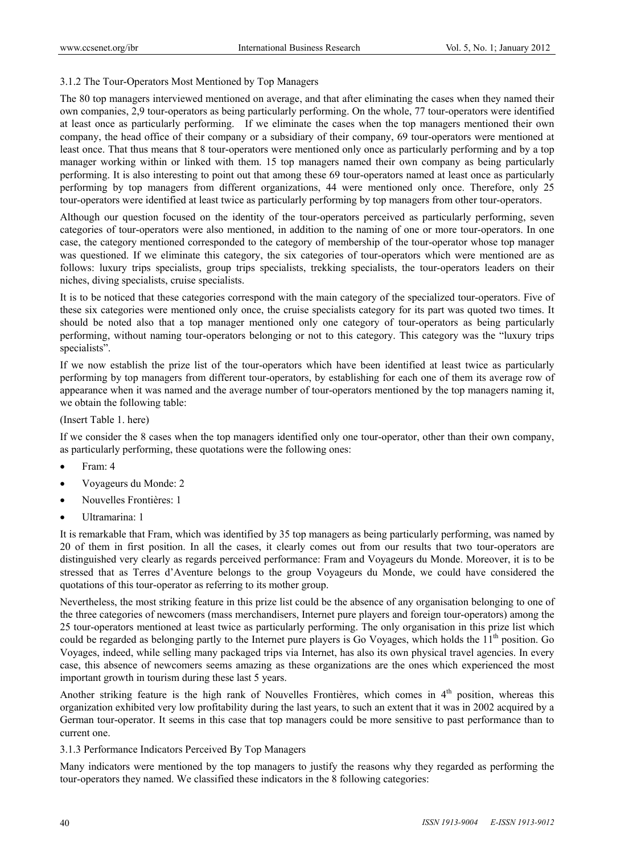## 3.1.2 The Tour-Operators Most Mentioned by Top Managers

The 80 top managers interviewed mentioned on average, and that after eliminating the cases when they named their own companies, 2,9 tour-operators as being particularly performing. On the whole, 77 tour-operators were identified at least once as particularly performing. If we eliminate the cases when the top managers mentioned their own company, the head office of their company or a subsidiary of their company, 69 tour-operators were mentioned at least once. That thus means that 8 tour-operators were mentioned only once as particularly performing and by a top manager working within or linked with them. 15 top managers named their own company as being particularly performing. It is also interesting to point out that among these 69 tour-operators named at least once as particularly performing by top managers from different organizations, 44 were mentioned only once. Therefore, only 25 tour-operators were identified at least twice as particularly performing by top managers from other tour-operators.

Although our question focused on the identity of the tour-operators perceived as particularly performing, seven categories of tour-operators were also mentioned, in addition to the naming of one or more tour-operators. In one case, the category mentioned corresponded to the category of membership of the tour-operator whose top manager was questioned. If we eliminate this category, the six categories of tour-operators which were mentioned are as follows: luxury trips specialists, group trips specialists, trekking specialists, the tour-operators leaders on their niches, diving specialists, cruise specialists.

It is to be noticed that these categories correspond with the main category of the specialized tour-operators. Five of these six categories were mentioned only once, the cruise specialists category for its part was quoted two times. It should be noted also that a top manager mentioned only one category of tour-operators as being particularly performing, without naming tour-operators belonging or not to this category. This category was the "luxury trips specialists".

If we now establish the prize list of the tour-operators which have been identified at least twice as particularly performing by top managers from different tour-operators, by establishing for each one of them its average row of appearance when it was named and the average number of tour-operators mentioned by the top managers naming it, we obtain the following table:

### (Insert Table 1. here)

If we consider the 8 cases when the top managers identified only one tour-operator, other than their own company, as particularly performing, these quotations were the following ones:

- $\bullet$  Fram: 4
- Voyageurs du Monde: 2
- Nouvelles Frontières: 1
- Ultramarina: 1

It is remarkable that Fram, which was identified by 35 top managers as being particularly performing, was named by 20 of them in first position. In all the cases, it clearly comes out from our results that two tour-operators are distinguished very clearly as regards perceived performance: Fram and Voyageurs du Monde. Moreover, it is to be stressed that as Terres d'Aventure belongs to the group Voyageurs du Monde, we could have considered the quotations of this tour-operator as referring to its mother group.

Nevertheless, the most striking feature in this prize list could be the absence of any organisation belonging to one of the three categories of newcomers (mass merchandisers, Internet pure players and foreign tour-operators) among the 25 tour-operators mentioned at least twice as particularly performing. The only organisation in this prize list which could be regarded as belonging partly to the Internet pure players is Go Voyages, which holds the  $11<sup>th</sup>$  position. Go Voyages, indeed, while selling many packaged trips via Internet, has also its own physical travel agencies. In every case, this absence of newcomers seems amazing as these organizations are the ones which experienced the most important growth in tourism during these last 5 years.

Another striking feature is the high rank of Nouvelles Frontières, which comes in  $4<sup>th</sup>$  position, whereas this organization exhibited very low profitability during the last years, to such an extent that it was in 2002 acquired by a German tour-operator. It seems in this case that top managers could be more sensitive to past performance than to current one.

### 3.1.3 Performance Indicators Perceived By Top Managers

Many indicators were mentioned by the top managers to justify the reasons why they regarded as performing the tour-operators they named. We classified these indicators in the 8 following categories: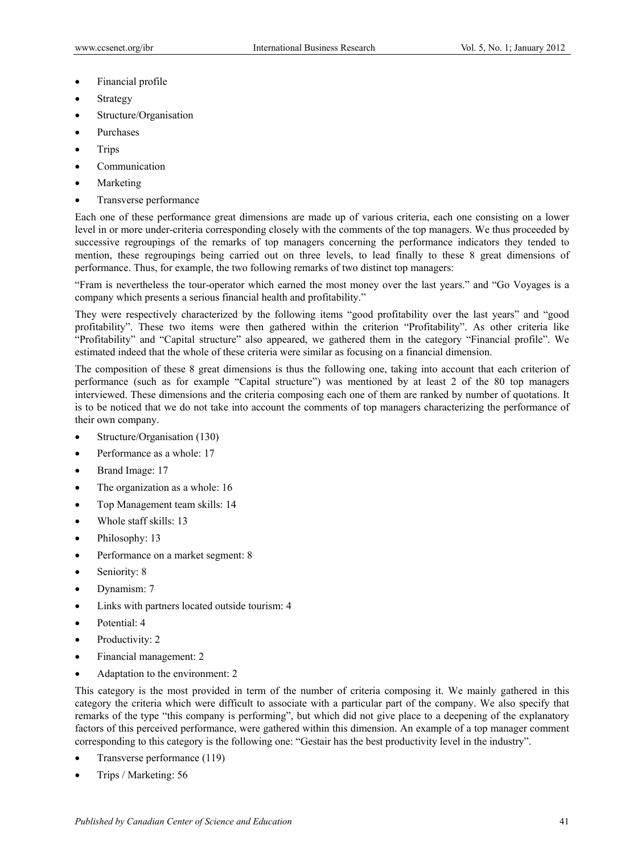- Financial profile
- Strategy
- Structure/Organisation
- Purchases
- $\bullet$  Trips
- Communication
- Marketing
- Transverse performance

Each one of these performance great dimensions are made up of various criteria, each one consisting on a lower level in or more under-criteria corresponding closely with the comments of the top managers. We thus proceeded by successive regroupings of the remarks of top managers concerning the performance indicators they tended to mention, these regroupings being carried out on three levels, to lead finally to these 8 great dimensions of performance. Thus, for example, the two following remarks of two distinct top managers:

"Fram is nevertheless the tour-operator which earned the most money over the last years." and "Go Voyages is a company which presents a serious financial health and profitability."

They were respectively characterized by the following items "good profitability over the last years" and "good profitability". These two items were then gathered within the criterion "Profitability". As other criteria like "Profitability" and "Capital structure" also appeared, we gathered them in the category "Financial profile". We estimated indeed that the whole of these criteria were similar as focusing on a financial dimension.

The composition of these 8 great dimensions is thus the following one, taking into account that each criterion of performance (such as for example "Capital structure") was mentioned by at least 2 of the 80 top managers interviewed. These dimensions and the criteria composing each one of them are ranked by number of quotations. It is to be noticed that we do not take into account the comments of top managers characterizing the performance of their own company.

- Structure/Organisation (130)
- Performance as a whole: 17
- Brand Image: 17
- The organization as a whole: 16
- Top Management team skills: 14
- Whole staff skills: 13
- Philosophy: 13
- Performance on a market segment: 8
- Seniority: 8
- Dynamism: 7
- Links with partners located outside tourism: 4
- Potential: 4
- Productivity: 2
- Financial management: 2
- Adaptation to the environment: 2

This category is the most provided in term of the number of criteria composing it. We mainly gathered in this category the criteria which were difficult to associate with a particular part of the company. We also specify that remarks of the type "this company is performing", but which did not give place to a deepening of the explanatory factors of this perceived performance, were gathered within this dimension. An example of a top manager comment corresponding to this category is the following one: "Gestair has the best productivity level in the industry".

- Transverse performance (119)
- Trips / Marketing: 56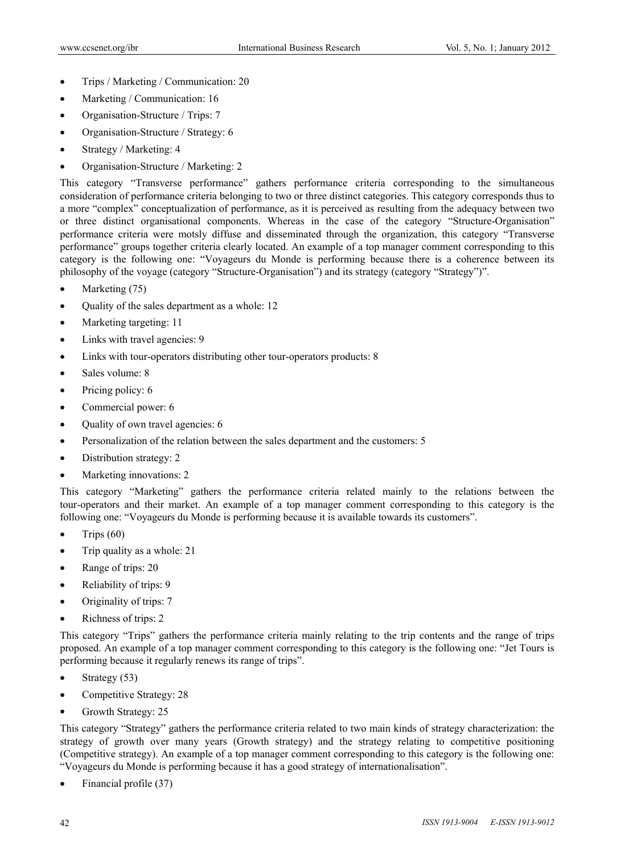- Trips / Marketing / Communication: 20
- Marketing / Communication: 16
- Organisation-Structure / Trips: 7
- Organisation-Structure / Strategy: 6
- Strategy / Marketing: 4
- Organisation-Structure / Marketing: 2

This category "Transverse performance" gathers performance criteria corresponding to the simultaneous consideration of performance criteria belonging to two or three distinct categories. This category corresponds thus to a more "complex" conceptualization of performance, as it is perceived as resulting from the adequacy between two or three distinct organisational components. Whereas in the case of the category "Structure-Organisation" performance criteria were motsly diffuse and disseminated through the organization, this category "Transverse performance" groups together criteria clearly located. An example of a top manager comment corresponding to this category is the following one: "Voyageurs du Monde is performing because there is a coherence between its philosophy of the voyage (category "Structure-Organisation") and its strategy (category "Strategy")".

- Marketing (75)
- Ouality of the sales department as a whole: 12
- Marketing targeting: 11
- Links with travel agencies: 9
- Links with tour-operators distributing other tour-operators products: 8
- Sales volume: 8
- $\bullet$  Pricing policy: 6
- Commercial power: 6
- Quality of own travel agencies: 6
- Personalization of the relation between the sales department and the customers: 5
- Distribution strategy: 2
- Marketing innovations: 2

This category "Marketing" gathers the performance criteria related mainly to the relations between the tour-operators and their market. An example of a top manager comment corresponding to this category is the following one: "Voyageurs du Monde is performing because it is available towards its customers".

- $\bullet$  Trips (60)
- Trip quality as a whole: 21
- Range of trips: 20
- Reliability of trips: 9
- Originality of trips: 7
- Richness of trips: 2

This category "Trips" gathers the performance criteria mainly relating to the trip contents and the range of trips proposed. An example of a top manager comment corresponding to this category is the following one: "Jet Tours is performing because it regularly renews its range of trips".

- $\bullet$  Strategy (53)
- Competitive Strategy: 28
- Growth Strategy: 25

This category "Strategy" gathers the performance criteria related to two main kinds of strategy characterization: the strategy of growth over many years (Growth strategy) and the strategy relating to competitive positioning (Competitive strategy). An example of a top manager comment corresponding to this category is the following one: "Voyageurs du Monde is performing because it has a good strategy of internationalisation".

Financial profile (37)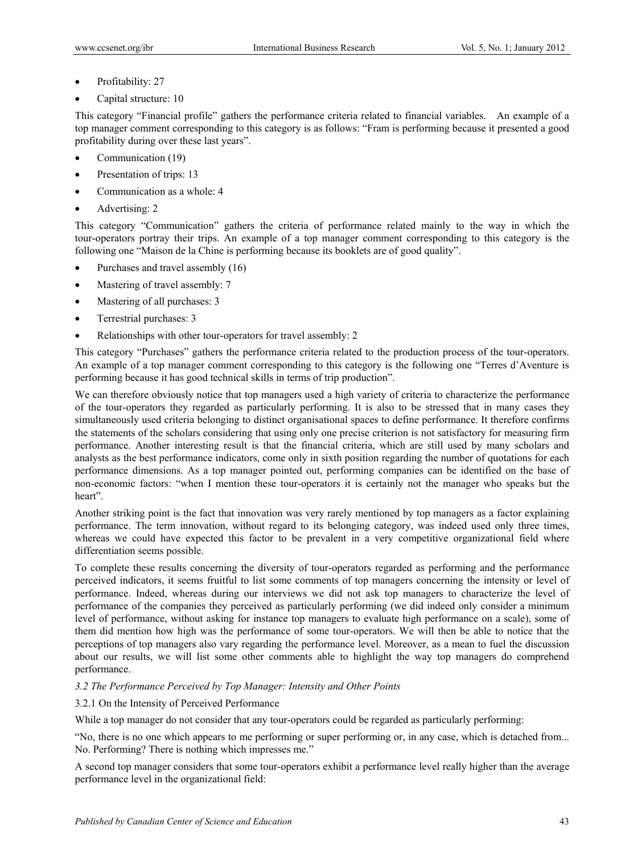- Profitability: 27
- Capital structure: 10

This category "Financial profile" gathers the performance criteria related to financial variables. An example of a top manager comment corresponding to this category is as follows: "Fram is performing because it presented a good profitability during over these last years".

- Communication (19)
- Presentation of trips: 13
- Communication as a whole: 4
- Advertising: 2

This category "Communication" gathers the criteria of performance related mainly to the way in which the tour-operators portray their trips. An example of a top manager comment corresponding to this category is the following one "Maison de la Chine is performing because its booklets are of good quality".

- Purchases and travel assembly (16)
- Mastering of travel assembly: 7
- Mastering of all purchases: 3
- Terrestrial purchases: 3
- Relationships with other tour-operators for travel assembly: 2

This category "Purchases" gathers the performance criteria related to the production process of the tour-operators. An example of a top manager comment corresponding to this category is the following one "Terres d'Aventure is performing because it has good technical skills in terms of trip production".

We can therefore obviously notice that top managers used a high variety of criteria to characterize the performance of the tour-operators they regarded as particularly performing. It is also to be stressed that in many cases they simultaneously used criteria belonging to distinct organisational spaces to define performance. It therefore confirms the statements of the scholars considering that using only one precise criterion is not satisfactory for measuring firm performance. Another interesting result is that the financial criteria, which are still used by many scholars and analysts as the best performance indicators, come only in sixth position regarding the number of quotations for each performance dimensions. As a top manager pointed out, performing companies can be identified on the base of non-economic factors: "when I mention these tour-operators it is certainly not the manager who speaks but the heart".

Another striking point is the fact that innovation was very rarely mentioned by top managers as a factor explaining performance. The term innovation, without regard to its belonging category, was indeed used only three times, whereas we could have expected this factor to be prevalent in a very competitive organizational field where differentiation seems possible.

To complete these results concerning the diversity of tour-operators regarded as performing and the performance perceived indicators, it seems fruitful to list some comments of top managers concerning the intensity or level of performance. Indeed, whereas during our interviews we did not ask top managers to characterize the level of performance of the companies they perceived as particularly performing (we did indeed only consider a minimum level of performance, without asking for instance top managers to evaluate high performance on a scale), some of them did mention how high was the performance of some tour-operators. We will then be able to notice that the perceptions of top managers also vary regarding the performance level. Moreover, as a mean to fuel the discussion about our results, we will list some other comments able to highlight the way top managers do comprehend performance.

## *3.2 The Performance Perceived by Top Manager: Intensity and Other Points*

## 3.2.1 On the Intensity of Perceived Performance

While a top manager do not consider that any tour-operators could be regarded as particularly performing:

"No, there is no one which appears to me performing or super performing or, in any case, which is detached from... No. Performing? There is nothing which impresses me."

A second top manager considers that some tour-operators exhibit a performance level really higher than the average performance level in the organizational field: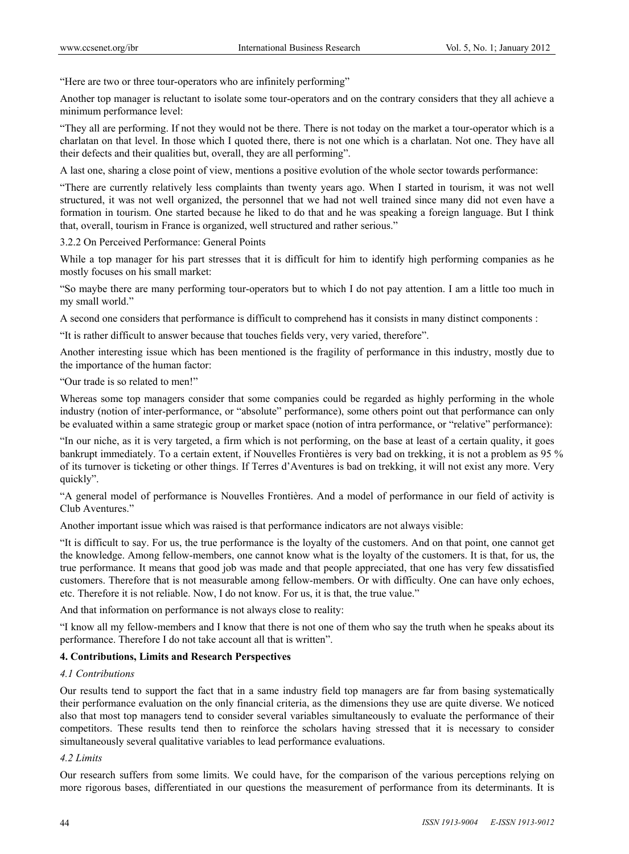"Here are two or three tour-operators who are infinitely performing"

Another top manager is reluctant to isolate some tour-operators and on the contrary considers that they all achieve a minimum performance level:

"They all are performing. If not they would not be there. There is not today on the market a tour-operator which is a charlatan on that level. In those which I quoted there, there is not one which is a charlatan. Not one. They have all their defects and their qualities but, overall, they are all performing".

A last one, sharing a close point of view, mentions a positive evolution of the whole sector towards performance:

"There are currently relatively less complaints than twenty years ago. When I started in tourism, it was not well structured, it was not well organized, the personnel that we had not well trained since many did not even have a formation in tourism. One started because he liked to do that and he was speaking a foreign language. But I think that, overall, tourism in France is organized, well structured and rather serious."

3.2.2 On Perceived Performance: General Points

While a top manager for his part stresses that it is difficult for him to identify high performing companies as he mostly focuses on his small market:

"So maybe there are many performing tour-operators but to which I do not pay attention. I am a little too much in my small world."

A second one considers that performance is difficult to comprehend has it consists in many distinct components :

"It is rather difficult to answer because that touches fields very, very varied, therefore".

Another interesting issue which has been mentioned is the fragility of performance in this industry, mostly due to the importance of the human factor:

"Our trade is so related to men!"

Whereas some top managers consider that some companies could be regarded as highly performing in the whole industry (notion of inter-performance, or "absolute" performance), some others point out that performance can only be evaluated within a same strategic group or market space (notion of intra performance, or "relative" performance):

"In our niche, as it is very targeted, a firm which is not performing, on the base at least of a certain quality, it goes bankrupt immediately. To a certain extent, if Nouvelles Frontières is very bad on trekking, it is not a problem as 95 % of its turnover is ticketing or other things. If Terres d'Aventures is bad on trekking, it will not exist any more. Very quickly".

"A general model of performance is Nouvelles Frontières. And a model of performance in our field of activity is Club Aventures."

Another important issue which was raised is that performance indicators are not always visible:

"It is difficult to say. For us, the true performance is the loyalty of the customers. And on that point, one cannot get the knowledge. Among fellow-members, one cannot know what is the loyalty of the customers. It is that, for us, the true performance. It means that good job was made and that people appreciated, that one has very few dissatisfied customers. Therefore that is not measurable among fellow-members. Or with difficulty. One can have only echoes, etc. Therefore it is not reliable. Now, I do not know. For us, it is that, the true value."

And that information on performance is not always close to reality:

"I know all my fellow-members and I know that there is not one of them who say the truth when he speaks about its performance. Therefore I do not take account all that is written".

## **4. Contributions, Limits and Research Perspectives**

#### *4.1 Contributions*

Our results tend to support the fact that in a same industry field top managers are far from basing systematically their performance evaluation on the only financial criteria, as the dimensions they use are quite diverse. We noticed also that most top managers tend to consider several variables simultaneously to evaluate the performance of their competitors. These results tend then to reinforce the scholars having stressed that it is necessary to consider simultaneously several qualitative variables to lead performance evaluations.

## *4.2 Limits*

Our research suffers from some limits. We could have, for the comparison of the various perceptions relying on more rigorous bases, differentiated in our questions the measurement of performance from its determinants. It is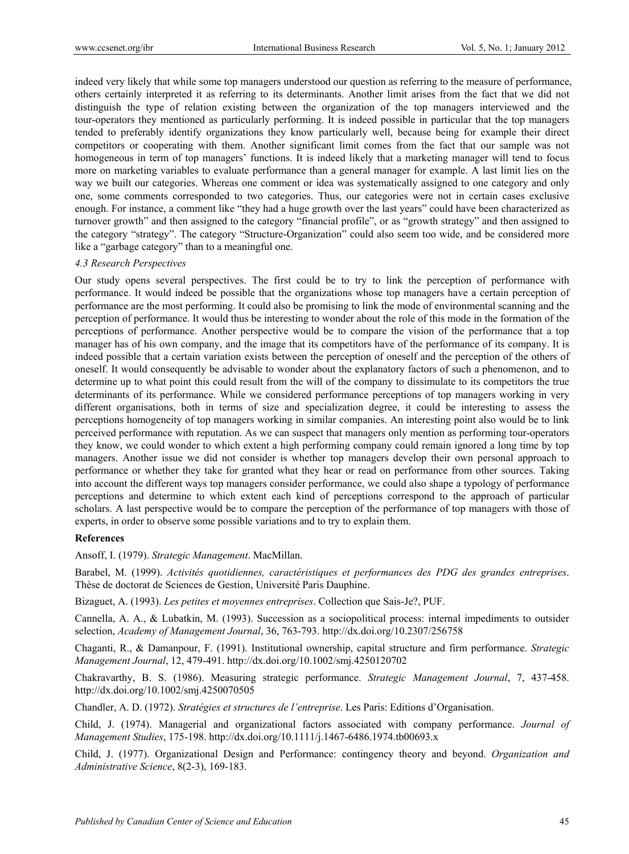indeed very likely that while some top managers understood our question as referring to the measure of performance, others certainly interpreted it as referring to its determinants. Another limit arises from the fact that we did not distinguish the type of relation existing between the organization of the top managers interviewed and the tour-operators they mentioned as particularly performing. It is indeed possible in particular that the top managers tended to preferably identify organizations they know particularly well, because being for example their direct competitors or cooperating with them. Another significant limit comes from the fact that our sample was not homogeneous in term of top managers' functions. It is indeed likely that a marketing manager will tend to focus more on marketing variables to evaluate performance than a general manager for example. A last limit lies on the way we built our categories. Whereas one comment or idea was systematically assigned to one category and only one, some comments corresponded to two categories. Thus, our categories were not in certain cases exclusive enough. For instance, a comment like "they had a huge growth over the last years" could have been characterized as turnover growth" and then assigned to the category "financial profile", or as "growth strategy" and then assigned to the category "strategy". The category "Structure-Organization" could also seem too wide, and be considered more like a "garbage category" than to a meaningful one.

## *4.3 Research Perspectives*

Our study opens several perspectives. The first could be to try to link the perception of performance with performance. It would indeed be possible that the organizations whose top managers have a certain perception of performance are the most performing. It could also be promising to link the mode of environmental scanning and the perception of performance. It would thus be interesting to wonder about the role of this mode in the formation of the perceptions of performance. Another perspective would be to compare the vision of the performance that a top manager has of his own company, and the image that its competitors have of the performance of its company. It is indeed possible that a certain variation exists between the perception of oneself and the perception of the others of oneself. It would consequently be advisable to wonder about the explanatory factors of such a phenomenon, and to determine up to what point this could result from the will of the company to dissimulate to its competitors the true determinants of its performance. While we considered performance perceptions of top managers working in very different organisations, both in terms of size and specialization degree, it could be interesting to assess the perceptions homogeneity of top managers working in similar companies. An interesting point also would be to link perceived performance with reputation. As we can suspect that managers only mention as performing tour-operators they know, we could wonder to which extent a high performing company could remain ignored a long time by top managers. Another issue we did not consider is whether top managers develop their own personal approach to performance or whether they take for granted what they hear or read on performance from other sources. Taking into account the different ways top managers consider performance, we could also shape a typology of performance perceptions and determine to which extent each kind of perceptions correspond to the approach of particular scholars. A last perspective would be to compare the perception of the performance of top managers with those of experts, in order to observe some possible variations and to try to explain them.

#### **References**

Ansoff, I. (1979). *Strategic Management*. MacMillan.

Barabel, M. (1999). *Activités quotidiennes, caractéristiques et performances des PDG des grandes entreprises*. Thèse de doctorat de Sciences de Gestion, Université Paris Dauphine.

Bizaguet, A. (1993). *Les petites et moyennes entreprises*. Collection que Sais-Je?, PUF.

Cannella, A. A., & Lubatkin, M. (1993). Succession as a sociopolitical process: internal impediments to outsider selection, *Academy of Management Journal*, 36, 763-793. http://dx.doi.org/10.2307/256758

Chaganti, R., & Damanpour, F. (1991). Institutional ownership, capital structure and firm performance. *Strategic Management Journal*, 12, 479-491. http://dx.doi.org/10.1002/smj.4250120702

Chakravarthy, B. S. (1986). Measuring strategic performance. *Strategic Management Journal*, 7, 437-458. http://dx.doi.org/10.1002/smj.4250070505

Chandler, A. D. (1972). *Stratégies et structures de l'entreprise*. Les Paris: Editions d'Organisation.

Child, J. (1974). Managerial and organizational factors associated with company performance. *Journal of Management Studies*, 175-198. http://dx.doi.org/10.1111/j.1467-6486.1974.tb00693.x

Child, J. (1977). Organizational Design and Performance: contingency theory and beyond. *Organization and Administrative Science*, 8(2-3), 169-183.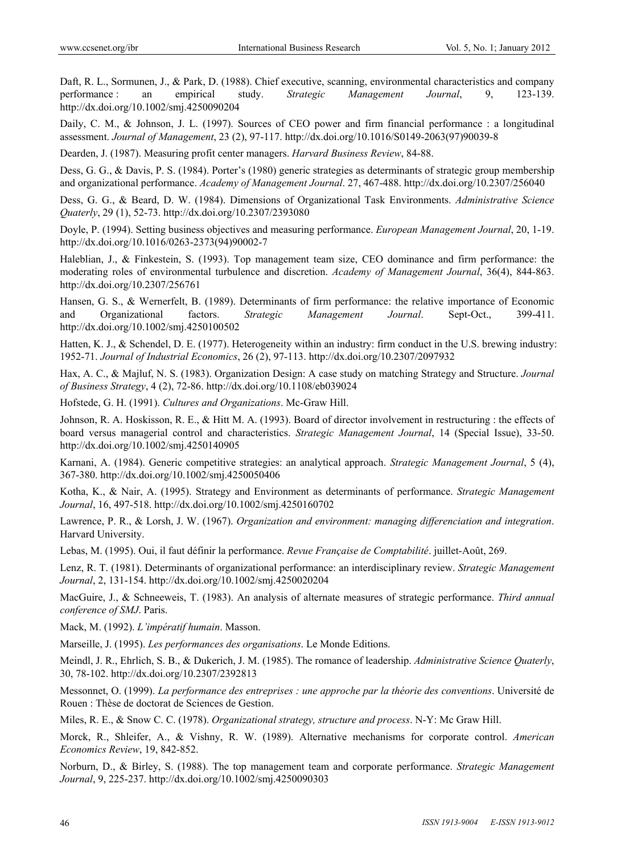Daft, R. L., Sormunen, J., & Park, D. (1988). Chief executive, scanning, environmental characteristics and company performance : an empirical study. *Strategic Management Journal*, 9, 123-139. http://dx.doi.org/10.1002/smj.4250090204

Daily, C. M., & Johnson, J. L. (1997). Sources of CEO power and firm financial performance : a longitudinal assessment. *Journal of Management*, 23 (2), 97-117. http://dx.doi.org/10.1016/S0149-2063(97)90039-8

Dearden, J. (1987). Measuring profit center managers. *Harvard Business Review*, 84-88.

Dess, G. G., & Davis, P. S. (1984). Porter's (1980) generic strategies as determinants of strategic group membership and organizational performance. *Academy of Management Journal*. 27, 467-488. http://dx.doi.org/10.2307/256040

Dess, G. G., & Beard, D. W. (1984). Dimensions of Organizational Task Environments. *Administrative Science Quaterly*, 29 (1), 52-73. http://dx.doi.org/10.2307/2393080

Doyle, P. (1994). Setting business objectives and measuring performance. *European Management Journal*, 20, 1-19. http://dx.doi.org/10.1016/0263-2373(94)90002-7

Haleblian, J., & Finkestein, S. (1993). Top management team size, CEO dominance and firm performance: the moderating roles of environmental turbulence and discretion. *Academy of Management Journal*, 36(4), 844-863. http://dx.doi.org/10.2307/256761

Hansen, G. S., & Wernerfelt, B. (1989). Determinants of firm performance: the relative importance of Economic and Organizational factors. *Strategic Management Journal*. Sept-Oct., 399-411. http://dx.doi.org/10.1002/smj.4250100502

Hatten, K. J., & Schendel, D. E. (1977). Heterogeneity within an industry: firm conduct in the U.S. brewing industry: 1952-71. *Journal of Industrial Economics*, 26 (2), 97-113. http://dx.doi.org/10.2307/2097932

Hax, A. C., & Majluf, N. S. (1983). Organization Design: A case study on matching Strategy and Structure. *Journal of Business Strategy*, 4 (2), 72-86. http://dx.doi.org/10.1108/eb039024

Hofstede, G. H. (1991). *Cultures and Organizations*. Mc-Graw Hill.

Johnson, R. A. Hoskisson, R. E., & Hitt M. A. (1993). Board of director involvement in restructuring : the effects of board versus managerial control and characteristics. *Strategic Management Journal*, 14 (Special Issue), 33-50. http://dx.doi.org/10.1002/smj.4250140905

Karnani, A. (1984). Generic competitive strategies: an analytical approach. *Strategic Management Journal*, 5 (4), 367-380. http://dx.doi.org/10.1002/smj.4250050406

Kotha, K., & Nair, A. (1995). Strategy and Environment as determinants of performance. *Strategic Management Journal*, 16, 497-518. http://dx.doi.org/10.1002/smj.4250160702

Lawrence, P. R., & Lorsh, J. W. (1967). *Organization and environment: managing differenciation and integration*. Harvard University.

Lebas, M. (1995). Oui, il faut définir la performance. *Revue Française de Comptabilité*. juillet-Août, 269.

Lenz, R. T. (1981). Determinants of organizational performance: an interdisciplinary review. *Strategic Management Journal*, 2, 131-154. http://dx.doi.org/10.1002/smj.4250020204

MacGuire, J., & Schneeweis, T. (1983). An analysis of alternate measures of strategic performance. *Third annual conference of SMJ*. Paris.

Mack, M. (1992). *L'impératif humain*. Masson.

Marseille, J. (1995). *Les performances des organisations*. Le Monde Editions.

Meindl, J. R., Ehrlich, S. B., & Dukerich, J. M. (1985). The romance of leadership. *Administrative Science Quaterly*, 30, 78-102. http://dx.doi.org/10.2307/2392813

Messonnet, O. (1999). *La performance des entreprises : une approche par la théorie des conventions*. Université de Rouen : Thèse de doctorat de Sciences de Gestion.

Miles, R. E., & Snow C. C. (1978). *Organizational strategy, structure and process*. N-Y: Mc Graw Hill.

Morck, R., Shleifer, A., & Vishny, R. W. (1989). Alternative mechanisms for corporate control. *American Economics Review*, 19, 842-852.

Norburn, D., & Birley, S. (1988). The top management team and corporate performance. *Strategic Management Journal*, 9, 225-237. http://dx.doi.org/10.1002/smj.4250090303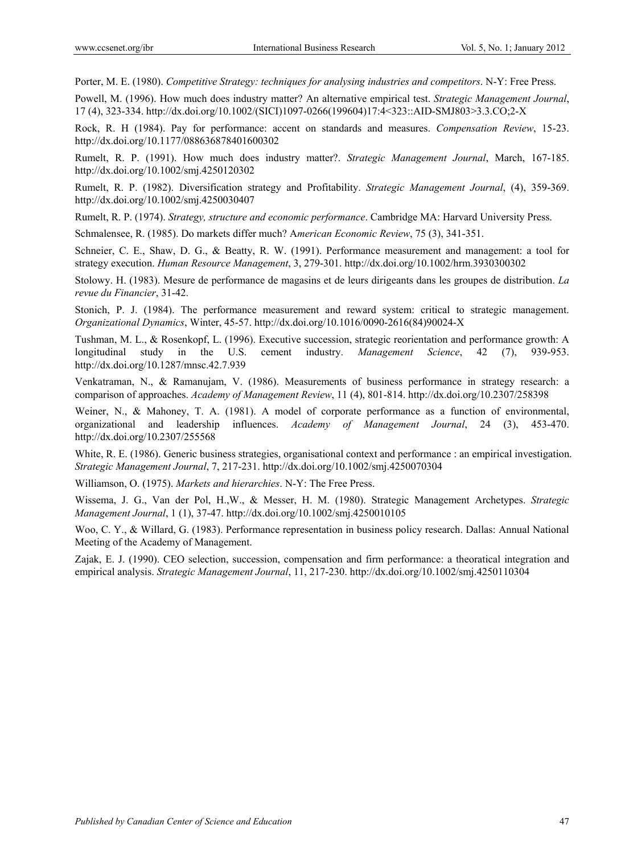Porter, M. E. (1980). *Competitive Strategy: techniques for analysing industries and competitors*. N-Y: Free Press.

Powell, M. (1996). How much does industry matter? An alternative empirical test. *Strategic Management Journal*, 17 (4), 323-334. http://dx.doi.org/10.1002/(SICI)1097-0266(199604)17:4<323::AID-SMJ803>3.3.CO;2-X

Rock, R. H (1984). Pay for performance: accent on standards and measures. *Compensation Review*, 15-23. http://dx.doi.org/10.1177/088636878401600302

Rumelt, R. P. (1991). How much does industry matter?. *Strategic Management Journal*, March, 167-185. http://dx.doi.org/10.1002/smj.4250120302

Rumelt, R. P. (1982). Diversification strategy and Profitability. *Strategic Management Journal*, (4), 359-369. http://dx.doi.org/10.1002/smj.4250030407

Rumelt, R. P. (1974). *Strategy, structure and economic performance*. Cambridge MA: Harvard University Press.

Schmalensee, R. (1985). Do markets differ much? A*merican Economic Review*, 75 (3), 341-351.

Schneier, C. E., Shaw, D. G., & Beatty, R. W. (1991). Performance measurement and management: a tool for strategy execution. *Human Resource Management*, 3, 279-301. http://dx.doi.org/10.1002/hrm.3930300302

Stolowy. H. (1983). Mesure de performance de magasins et de leurs dirigeants dans les groupes de distribution. *La revue du Financier*, 31-42.

Stonich, P. J. (1984). The performance measurement and reward system: critical to strategic management. *Organizational Dynamics*, Winter, 45-57. http://dx.doi.org/10.1016/0090-2616(84)90024-X

Tushman, M. L., & Rosenkopf, L. (1996). Executive succession, strategic reorientation and performance growth: A longitudinal study in the U.S. cement industry. *Management Science*, 42 (7), 939-953. http://dx.doi.org/10.1287/mnsc.42.7.939

Venkatraman, N., & Ramanujam, V. (1986). Measurements of business performance in strategy research: a comparison of approaches. *Academy of Management Review*, 11 (4), 801-814. http://dx.doi.org/10.2307/258398

Weiner, N., & Mahoney, T. A. (1981). A model of corporate performance as a function of environmental, organizational and leadership influences. *Academy of Management Journal*, 24 (3), 453-470. http://dx.doi.org/10.2307/255568

White, R. E. (1986). Generic business strategies, organisational context and performance : an empirical investigation. *Strategic Management Journal*, 7, 217-231. http://dx.doi.org/10.1002/smj.4250070304

Williamson, O. (1975). *Markets and hierarchies*. N-Y: The Free Press.

Wissema, J. G., Van der Pol, H.,W., & Messer, H. M. (1980). Strategic Management Archetypes. *Strategic Management Journal*, 1 (1), 37-47. http://dx.doi.org/10.1002/smj.4250010105

Woo, C. Y., & Willard, G. (1983). Performance representation in business policy research. Dallas: Annual National Meeting of the Academy of Management.

Zajak, E. J. (1990). CEO selection, succession, compensation and firm performance: a theoratical integration and empirical analysis. *Strategic Management Journal*, 11, 217-230. http://dx.doi.org/10.1002/smj.4250110304